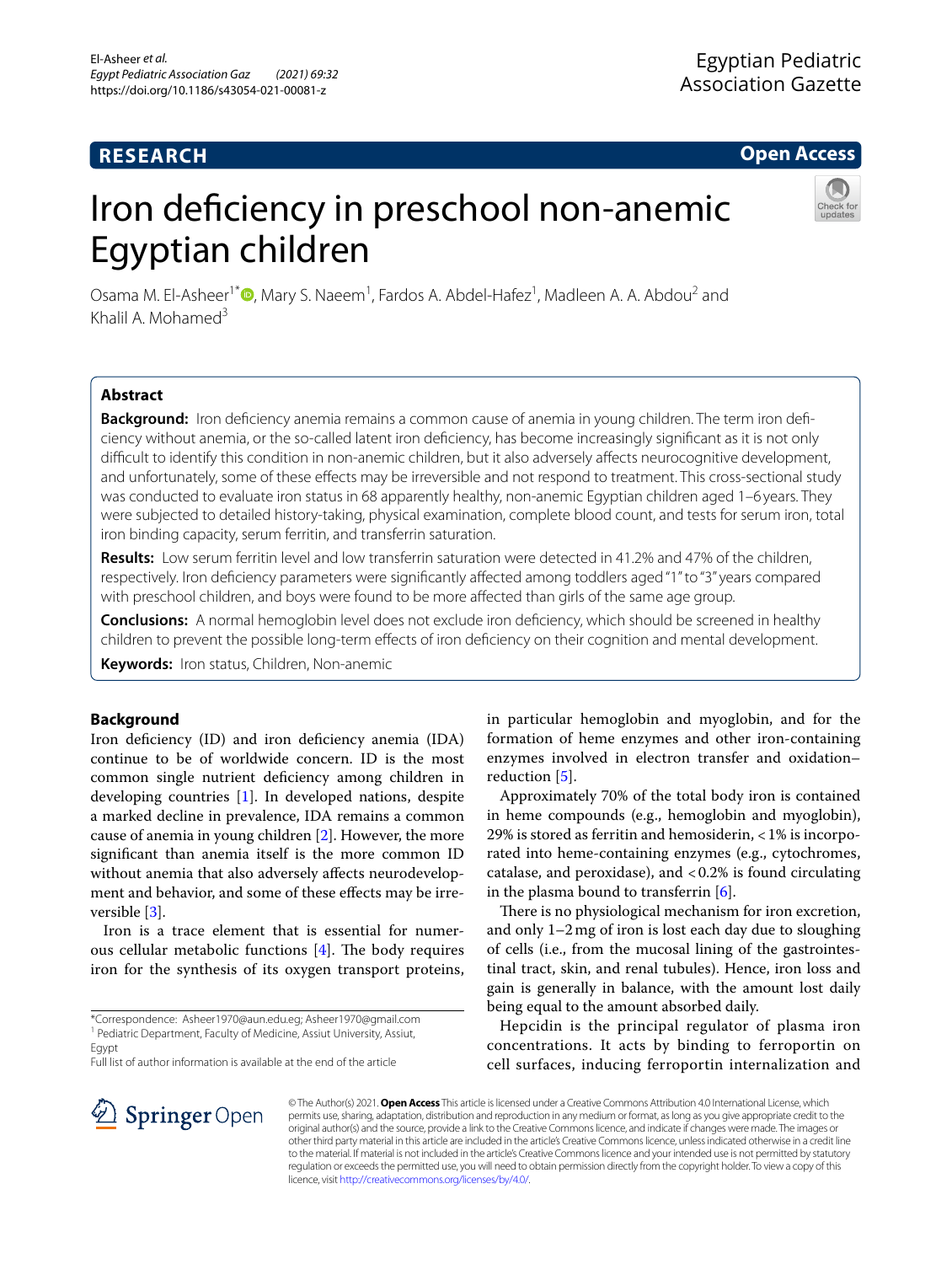# **RESEARCH**

# **Open Access**

# Iron deficiency in preschool non-anemic Egyptian children



Osama M. El-Asheer<sup>1\*</sup><sup>®</sup>[,](http://orcid.org/0000-0002-5844-5104) Mary S. Naeem<sup>1</sup>, Fardos A. Abdel-Hafez<sup>1</sup>, Madleen A. A. Abdou<sup>2</sup> and Khalil A. Mohamed $3$ 

## **Abstract**

Background: Iron deficiency anemia remains a common cause of anemia in young children. The term iron deficiency without anemia, or the so-called latent iron defciency, has become increasingly signifcant as it is not only difficult to identify this condition in non-anemic children, but it also adversely affects neurocognitive development, and unfortunately, some of these efects may be irreversible and not respond to treatment. This cross-sectional study was conducted to evaluate iron status in 68 apparently healthy, non-anemic Egyptian children aged 1–6 years. They were subjected to detailed history-taking, physical examination, complete blood count, and tests for serum iron, total iron binding capacity, serum ferritin, and transferrin saturation.

**Results:** Low serum ferritin level and low transferrin saturation were detected in 41.2% and 47% of the children, respectively. Iron defciency parameters were signifcantly afected among toddlers aged "1" to "3" years compared with preschool children, and boys were found to be more afected than girls of the same age group.

**Conclusions:** A normal hemoglobin level does not exclude iron defciency, which should be screened in healthy children to prevent the possible long-term efects of iron defciency on their cognition and mental development.

**Keywords:** Iron status, Children, Non-anemic

## **Background**

Iron deficiency (ID) and iron deficiency anemia (IDA) continue to be of worldwide concern. ID is the most common single nutrient defciency among children in developing countries [\[1\]](#page-3-0). In developed nations, despite a marked decline in prevalence, IDA remains a common cause of anemia in young children [[2](#page-3-1)]. However, the more signifcant than anemia itself is the more common ID without anemia that also adversely afects neurodevelopment and behavior, and some of these efects may be irreversible [\[3](#page-3-2)].

Iron is a trace element that is essential for numerous cellular metabolic functions  $[4]$  $[4]$ . The body requires iron for the synthesis of its oxygen transport proteins,

\*Correspondence: Asheer1970@aun.edu.eg; Asheer1970@gmail.com <sup>1</sup> Pediatric Department, Faculty of Medicine, Assiut University, Assiut, Egypt

Full list of author information is available at the end of the article

in particular hemoglobin and myoglobin, and for the formation of heme enzymes and other iron-containing enzymes involved in electron transfer and oxidation– reduction [[5\]](#page-3-4).

Approximately 70% of the total body iron is contained in heme compounds (e.g., hemoglobin and myoglobin), 29% is stored as ferritin and hemosiderin, <1% is incorporated into heme-containing enzymes (e.g., cytochromes, catalase, and peroxidase), and  $< 0.2\%$  is found circulating in the plasma bound to transferrin  $[6]$  $[6]$ .

There is no physiological mechanism for iron excretion, and only 1–2mg of iron is lost each day due to sloughing of cells (i.e., from the mucosal lining of the gastrointestinal tract, skin, and renal tubules). Hence, iron loss and gain is generally in balance, with the amount lost daily being equal to the amount absorbed daily.

Hepcidin is the principal regulator of plasma iron concentrations. It acts by binding to ferroportin on cell surfaces, inducing ferroportin internalization and



© The Author(s) 2021. **Open Access** This article is licensed under a Creative Commons Attribution 4.0 International License, which permits use, sharing, adaptation, distribution and reproduction in any medium or format, as long as you give appropriate credit to the original author(s) and the source, provide a link to the Creative Commons licence, and indicate if changes were made. The images or other third party material in this article are included in the article's Creative Commons licence, unless indicated otherwise in a credit line to the material. If material is not included in the article's Creative Commons licence and your intended use is not permitted by statutory regulation or exceeds the permitted use, you will need to obtain permission directly from the copyright holder. To view a copy of this licence, visit [http://creativecommons.org/licenses/by/4.0/.](http://creativecommons.org/licenses/by/4.0/)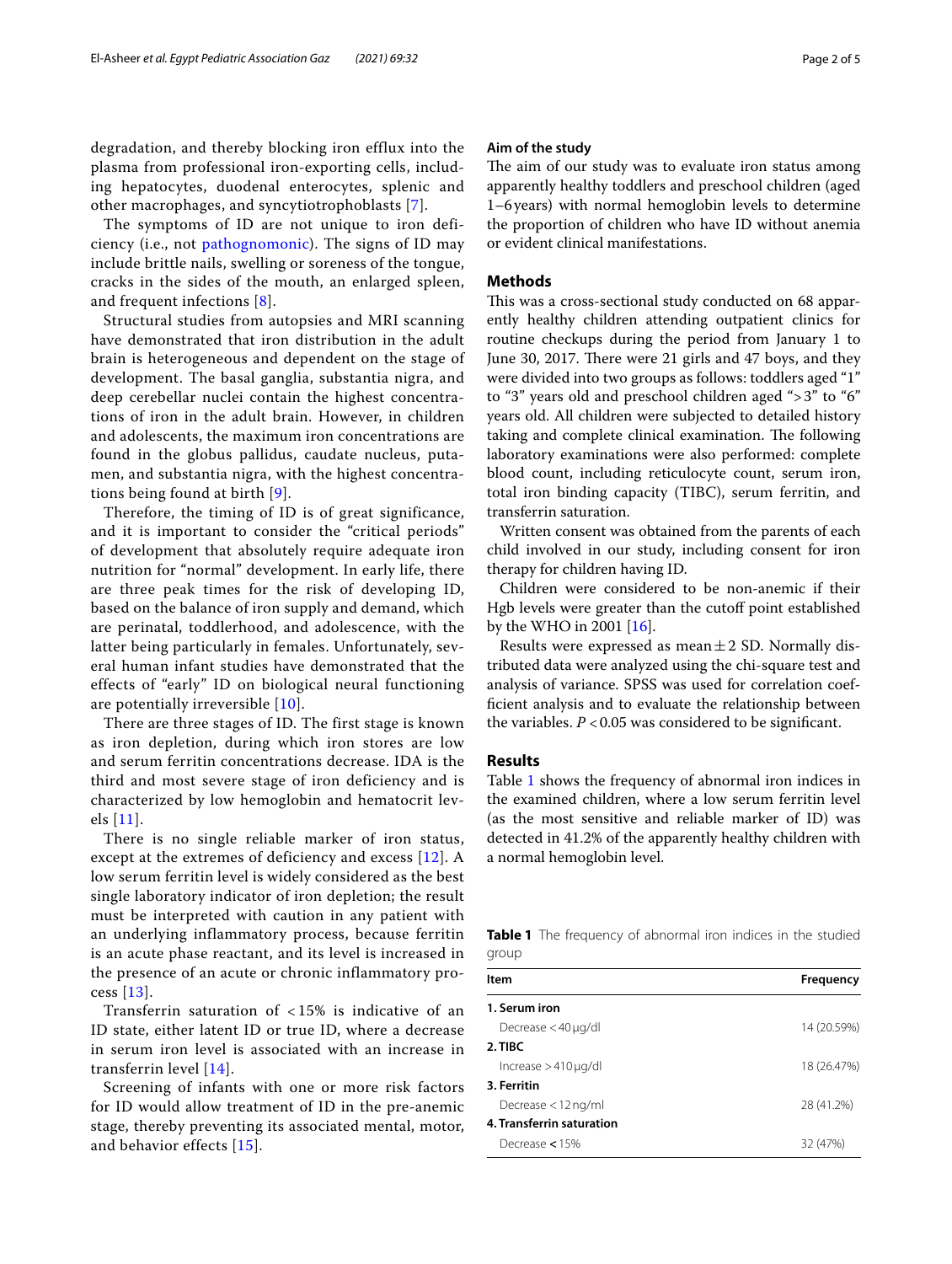degradation, and thereby blocking iron efflux into the plasma from professional iron-exporting cells, including hepatocytes, duodenal enterocytes, splenic and other macrophages, and syncytiotrophoblasts [\[7](#page-3-6)].

The symptoms of ID are not unique to iron deficiency (i.e., not [pathognomonic](https://en.wikipedia.org/wiki/Pathognomonic)). The signs of ID may include brittle nails, swelling or soreness of the tongue, cracks in the sides of the mouth, an enlarged spleen, and frequent infections [[8](#page-3-7)].

Structural studies from autopsies and MRI scanning have demonstrated that iron distribution in the adult brain is heterogeneous and dependent on the stage of development. The basal ganglia, substantia nigra, and deep cerebellar nuclei contain the highest concentrations of iron in the adult brain. However, in children and adolescents, the maximum iron concentrations are found in the globus pallidus, caudate nucleus, putamen, and substantia nigra, with the highest concentrations being found at birth [[9\]](#page-3-8).

Therefore, the timing of ID is of great significance, and it is important to consider the "critical periods" of development that absolutely require adequate iron nutrition for "normal" development. In early life, there are three peak times for the risk of developing ID, based on the balance of iron supply and demand, which are perinatal, toddlerhood, and adolescence, with the latter being particularly in females. Unfortunately, several human infant studies have demonstrated that the effects of "early" ID on biological neural functioning are potentially irreversible [[10](#page-3-9)].

There are three stages of ID. The first stage is known as iron depletion, during which iron stores are low and serum ferritin concentrations decrease. IDA is the third and most severe stage of iron deficiency and is characterized by low hemoglobin and hematocrit levels [[11](#page-3-10)].

There is no single reliable marker of iron status, except at the extremes of deficiency and excess [[12\]](#page-3-11). A low serum ferritin level is widely considered as the best single laboratory indicator of iron depletion; the result must be interpreted with caution in any patient with an underlying inflammatory process, because ferritin is an acute phase reactant, and its level is increased in the presence of an acute or chronic inflammatory process [[13](#page-3-12)].

Transferrin saturation of < 15% is indicative of an ID state, either latent ID or true ID, where a decrease in serum iron level is associated with an increase in transferrin level [[14\]](#page-3-13).

Screening of infants with one or more risk factors for ID would allow treatment of ID in the pre-anemic stage, thereby preventing its associated mental, motor, and behavior effects [\[15\]](#page-3-14).

## **Aim of the study**

The aim of our study was to evaluate iron status among apparently healthy toddlers and preschool children (aged 1–6years) with normal hemoglobin levels to determine the proportion of children who have ID without anemia or evident clinical manifestations.

#### **Methods**

This was a cross-sectional study conducted on 68 apparently healthy children attending outpatient clinics for routine checkups during the period from January 1 to June 30, 2017. There were 21 girls and 47 boys, and they were divided into two groups as follows: toddlers aged "1" to "3" years old and preschool children aged ">3" to "6" years old. All children were subjected to detailed history taking and complete clinical examination. The following laboratory examinations were also performed: complete blood count, including reticulocyte count, serum iron, total iron binding capacity (TIBC), serum ferritin, and transferrin saturation.

Written consent was obtained from the parents of each child involved in our study, including consent for iron therapy for children having ID.

Children were considered to be non-anemic if their Hgb levels were greater than the cutoff point established by the WHO in 2001 [\[16](#page-3-15)].

Results were expressed as mean $\pm 2$  SD. Normally distributed data were analyzed using the chi-square test and analysis of variance. SPSS was used for correlation coeffcient analysis and to evaluate the relationship between the variables.  $P < 0.05$  was considered to be significant.

#### **Results**

Table [1](#page-1-0) shows the frequency of abnormal iron indices in the examined children, where a low serum ferritin level (as the most sensitive and reliable marker of ID) was detected in 41.2% of the apparently healthy children with a normal hemoglobin level.

<span id="page-1-0"></span>**Table 1** The frequency of abnormal iron indices in the studied group

| <b>Item</b>                | Frequency   |
|----------------------------|-------------|
| 1. Serum iron              |             |
| Decrease $<$ 40 $\mu$ g/dl | 14 (20.59%) |
| 2. TIBC                    |             |
| $Increase > 410 \mu q/dl$  | 18 (26.47%) |
| 3. Ferritin                |             |
| Decrease $<$ 12 ng/ml      | 28 (41.2%)  |
| 4. Transferrin saturation  |             |
| Decrease $<$ 15%           | 32 (47%)    |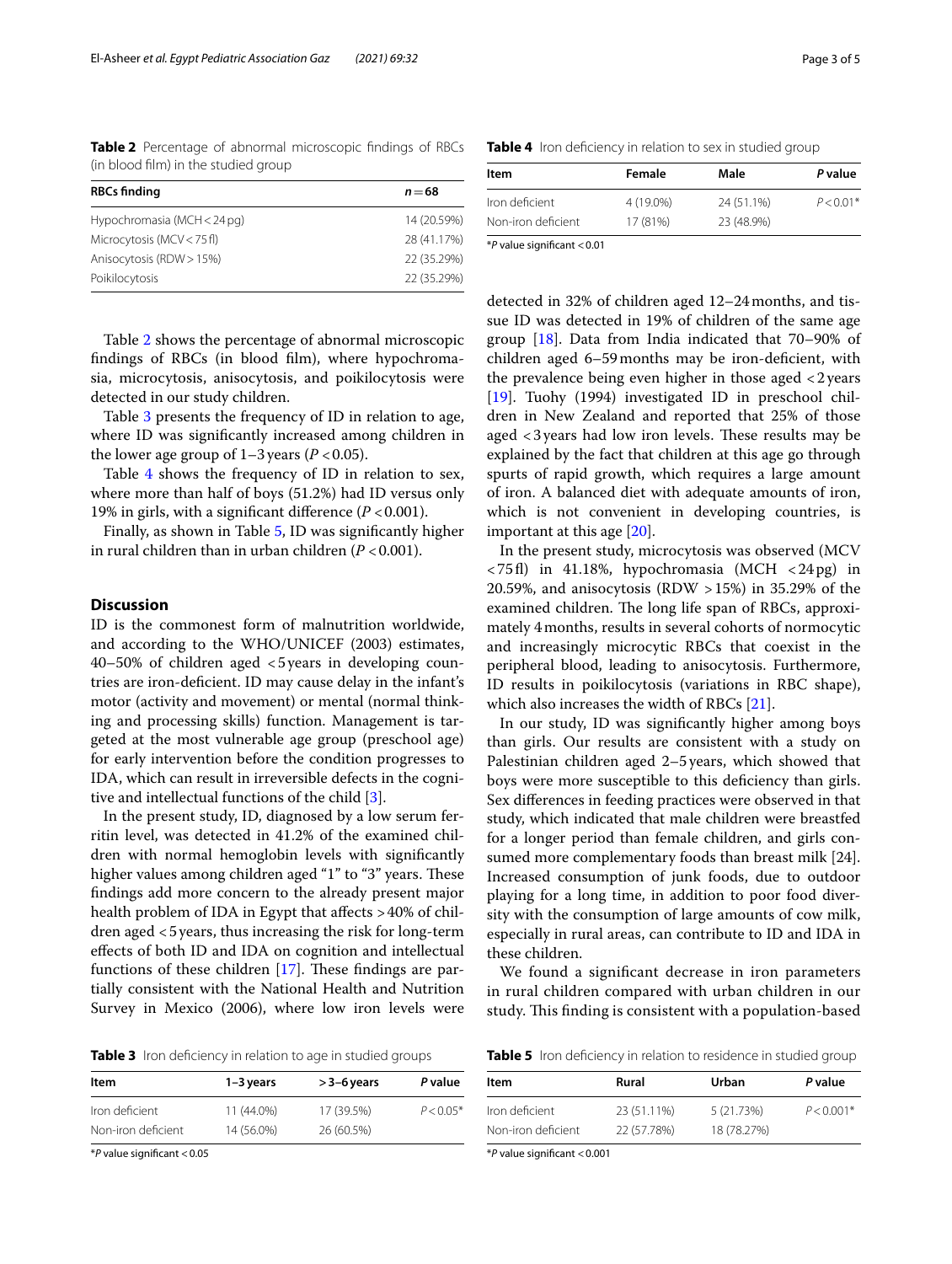<span id="page-2-0"></span>**Table 2** Percentage of abnormal microscopic fndings of RBCs (in blood flm) in the studied group

| <b>RBCs finding</b>         | $n = 68$    |
|-----------------------------|-------------|
| Hypochromasia (MCH < 24 pg) | 14 (20.59%) |
| Microcytosis (MCV < 75 fl)  | 28 (41.17%) |
| Anisocytosis (RDW > 15%)    | 22 (35.29%) |
| Poikilocytosis              | 22 (35.29%) |

Table [2](#page-2-0) shows the percentage of abnormal microscopic fndings of RBCs (in blood flm), where hypochromasia, microcytosis, anisocytosis, and poikilocytosis were detected in our study children.

Table [3](#page-2-1) presents the frequency of ID in relation to age, where ID was signifcantly increased among children in the lower age group of  $1-3$  years ( $P < 0.05$ ).

Table [4](#page-2-2) shows the frequency of ID in relation to sex, where more than half of boys (51.2%) had ID versus only 19% in girls, with a significant difference  $(P < 0.001)$ .

Finally, as shown in Table [5,](#page-2-3) ID was signifcantly higher in rural children than in urban children (*P* <0.001).

#### **Discussion**

ID is the commonest form of malnutrition worldwide, and according to the WHO/UNICEF (2003) estimates, 40–50% of children aged <5years in developing countries are iron-defcient. ID may cause delay in the infant's motor (activity and movement) or mental (normal thinking and processing skills) function. Management is targeted at the most vulnerable age group (preschool age) for early intervention before the condition progresses to IDA, which can result in irreversible defects in the cognitive and intellectual functions of the child [\[3](#page-3-2)].

In the present study, ID, diagnosed by a low serum ferritin level, was detected in 41.2% of the examined children with normal hemoglobin levels with signifcantly higher values among children aged "1" to "3" years. These fndings add more concern to the already present major health problem of IDA in Egypt that affects >40% of children aged <5years, thus increasing the risk for long-term efects of both ID and IDA on cognition and intellectual functions of these children  $[17]$  $[17]$  $[17]$ . These findings are partially consistent with the National Health and Nutrition Survey in Mexico (2006), where low iron levels were

<span id="page-2-1"></span>

|  |  | Table 3 Iron deficiency in relation to age in studied groups |  |  |  |  |
|--|--|--------------------------------------------------------------|--|--|--|--|
|--|--|--------------------------------------------------------------|--|--|--|--|

| Item               | $1 - 3$ years | $>$ 3–6 years | P value     |  |
|--------------------|---------------|---------------|-------------|--|
| Iron deficient     | 11 (44.0%)    | 17 (39.5%)    | $P < 0.05*$ |  |
| Non-iron deficient | 14 (56.0%)    | 26 (60.5%)    |             |  |

\**P* value signifcant <0.05

<span id="page-2-2"></span>**Table 4** Iron deficiency in relation to sex in studied group

| Female    | Male       | P value     |
|-----------|------------|-------------|
| 4 (19.0%) | 24 (51.1%) | $P < 0.01*$ |
| 17 (81%)  | 23 (48.9%) |             |
|           |            |             |

\**P* value signifcant <0.01

detected in 32% of children aged 12–24months, and tissue ID was detected in 19% of children of the same age group [[18](#page-4-1)]. Data from India indicated that 70–90% of children aged 6–59months may be iron-defcient, with the prevalence being even higher in those aged <2years [[19\]](#page-4-2). Tuohy (1994) investigated ID in preschool children in New Zealand and reported that 25% of those aged  $<$ 3 years had low iron levels. These results may be explained by the fact that children at this age go through spurts of rapid growth, which requires a large amount of iron. A balanced diet with adequate amounts of iron, which is not convenient in developing countries, is important at this age [\[20\]](#page-4-3).

In the present study, microcytosis was observed (MCV  $\langle 75f$ l) in 41.18%, hypochromasia (MCH  $\langle 24pg \rangle$  in 20.59%, and anisocytosis (RDW >15%) in 35.29% of the examined children. The long life span of RBCs, approximately 4months, results in several cohorts of normocytic and increasingly microcytic RBCs that coexist in the peripheral blood, leading to anisocytosis. Furthermore, ID results in poikilocytosis (variations in RBC shape), which also increases the width of RBCs [[21\]](#page-4-4).

In our study, ID was signifcantly higher among boys than girls. Our results are consistent with a study on Palestinian children aged 2–5 years, which showed that boys were more susceptible to this defciency than girls. Sex diferences in feeding practices were observed in that study, which indicated that male children were breastfed for a longer period than female children, and girls consumed more complementary foods than breast milk [24]. Increased consumption of junk foods, due to outdoor playing for a long time, in addition to poor food diversity with the consumption of large amounts of cow milk, especially in rural areas, can contribute to ID and IDA in these children.

We found a signifcant decrease in iron parameters in rural children compared with urban children in our study. This finding is consistent with a population-based

<span id="page-2-3"></span>**Table 5** Iron deficiency in relation to residence in studied group

| ltem               | Rural       | Urban       | P value      |
|--------------------|-------------|-------------|--------------|
| Iron deficient     | 23 (51.11%) | 5 (21.73%)  | $P < 0.001*$ |
| Non-iron deficient | 22 (57.78%) | 18 (78.27%) |              |

\**P* value signifcant <0.001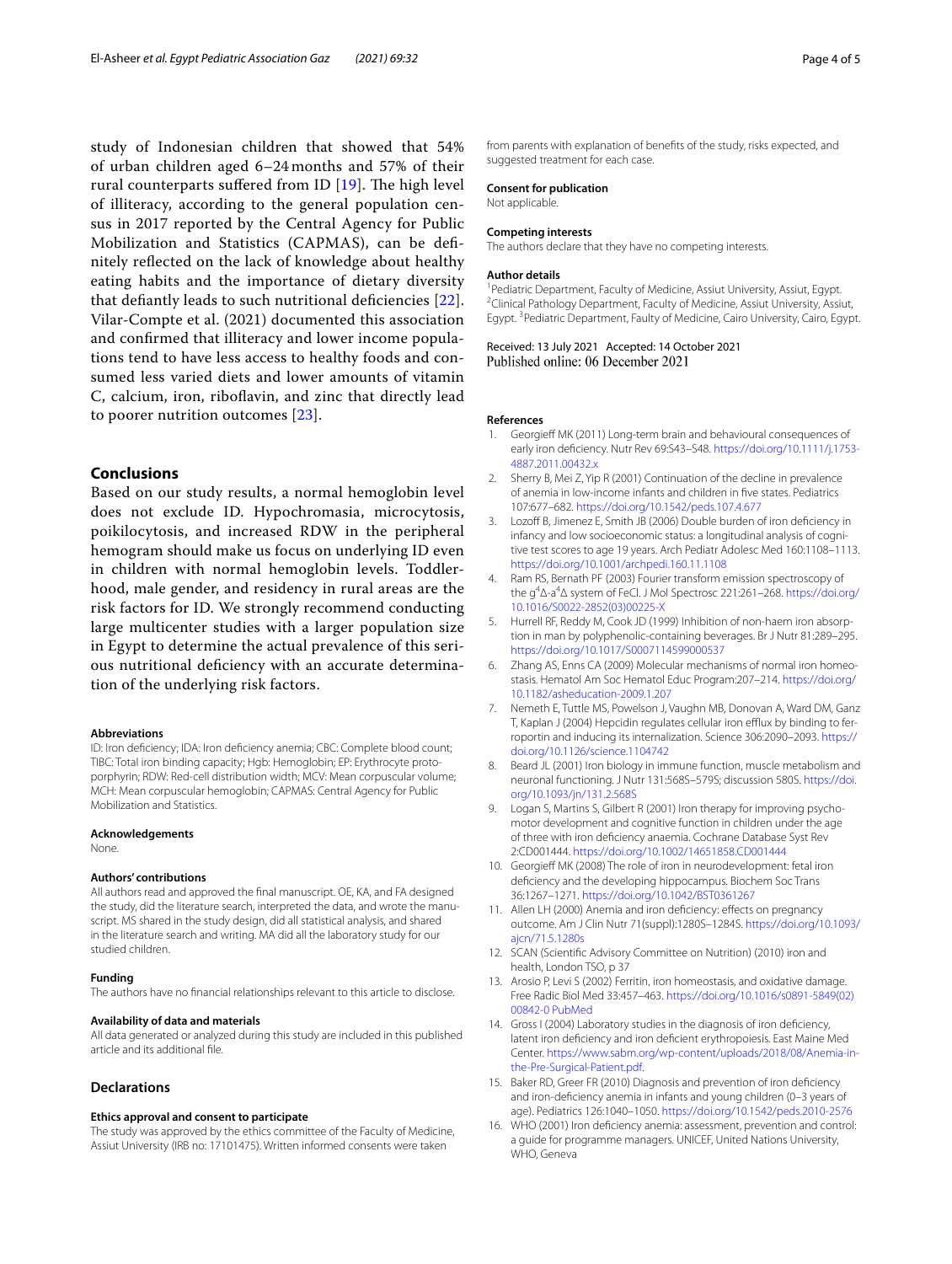study of Indonesian children that showed that 54% of urban children aged 6–24 months and 57% of their rural counterparts suffered from ID  $[19]$  $[19]$ . The high level of illiteracy, according to the general population census in 2017 reported by the Central Agency for Public Mobilization and Statistics (CAPMAS), can be defnitely refected on the lack of knowledge about healthy eating habits and the importance of dietary diversity that defantly leads to such nutritional defciencies [[22\]](#page-4-5). Vilar-Compte et al. (2021) documented this association and confrmed that illiteracy and lower income populations tend to have less access to healthy foods and consumed less varied diets and lower amounts of vitamin C, calcium, iron, riboflavin, and zinc that directly lead to poorer nutrition outcomes [[23\]](#page-4-6).

## **Conclusions**

Based on our study results, a normal hemoglobin level does not exclude ID. Hypochromasia, microcytosis, poikilocytosis, and increased RDW in the peripheral hemogram should make us focus on underlying ID even in children with normal hemoglobin levels. Toddlerhood, male gender, and residency in rural areas are the risk factors for ID. We strongly recommend conducting large multicenter studies with a larger population size in Egypt to determine the actual prevalence of this serious nutritional defciency with an accurate determination of the underlying risk factors.

#### **Abbreviations**

ID: Iron defciency; IDA: Iron defciency anemia; CBC: Complete blood count; TIBC: Total iron binding capacity; Hgb: Hemoglobin; EP: Erythrocyte protoporphyrin; RDW: Red-cell distribution width; MCV: Mean corpuscular volume; MCH: Mean corpuscular hemoglobin; CAPMAS: Central Agency for Public Mobilization and Statistics.

#### **Acknowledgements**

None.

#### **Authors' contributions**

All authors read and approved the fnal manuscript. OE, KA, and FA designed the study, did the literature search, interpreted the data, and wrote the manuscript. MS shared in the study design, did all statistical analysis, and shared in the literature search and writing. MA did all the laboratory study for our studied children.

#### **Funding**

The authors have no fnancial relationships relevant to this article to disclose.

#### **Availability of data and materials**

All data generated or analyzed during this study are included in this published article and its additional fle.

#### **Declarations**

#### **Ethics approval and consent to participate**

The study was approved by the ethics committee of the Faculty of Medicine, Assiut University (IRB no: 17101475). Written informed consents were taken

from parents with explanation of benefts of the study, risks expected, and suggested treatment for each case.

#### **Consent for publication**

Not applicable.

#### **Competing interests**

The authors declare that they have no competing interests.

#### **Author details**

<sup>1</sup> Pediatric Department, Faculty of Medicine, Assiut University, Assiut, Egypt.<br><sup>2</sup>Clinical Pathology Department, Faculty of Medicine, Assiut University, Assiu <sup>2</sup> Clinical Pathology Department, Faculty of Medicine, Assiut University, Assiut, Egypt.<sup>3</sup> Pediatric Department, Faulty of Medicine, Cairo University, Cairo, Egypt.

Received: 13 July 2021 Accepted: 14 October 2021 Published online: 06 December 2021

#### **References**

- <span id="page-3-0"></span>1. Georgief MK (2011) Long-term brain and behavioural consequences of early iron defciency. Nutr Rev 69:S43–S48. [https://doi.org/10.1111/j.1753-](https://doi.org/10.1111/j.1753-4887.2011.00432.x) [4887.2011.00432.x](https://doi.org/10.1111/j.1753-4887.2011.00432.x)
- <span id="page-3-1"></span>2. Sherry B, Mei Z, Yip R (2001) Continuation of the decline in prevalence of anemia in low-income infants and children in fve states. Pediatrics 107:677–682. <https://doi.org/10.1542/peds.107.4.677>
- <span id="page-3-2"></span>3. Lozof B, Jimenez E, Smith JB (2006) Double burden of iron defciency in infancy and low socioeconomic status: a longitudinal analysis of cognitive test scores to age 19 years. Arch Pediatr Adolesc Med 160:1108–1113. <https://doi.org/10.1001/archpedi.160.11.1108>
- <span id="page-3-3"></span>4. Ram RS, Bernath PF (2003) Fourier transform emission spectroscopy of the g<sup>4</sup>Δ-a<sup>4</sup>Δ system of FeCl. J Mol Spectrosc 221:261-268. [https://doi.org/](https://doi.org/10.1016/S0022-2852(03)00225-X) [10.1016/S0022-2852\(03\)00225-X](https://doi.org/10.1016/S0022-2852(03)00225-X)
- <span id="page-3-4"></span>5. Hurrell RF, Reddy M, Cook JD (1999) Inhibition of non-haem iron absorption in man by polyphenolic-containing beverages. Br J Nutr 81:289–295. <https://doi.org/10.1017/S0007114599000537>
- <span id="page-3-5"></span>Zhang AS, Enns CA (2009) Molecular mechanisms of normal iron homeostasis. Hematol Am Soc Hematol Educ Program:207–214. [https://doi.org/](https://doi.org/10.1182/asheducation-2009.1.207) [10.1182/asheducation-2009.1.207](https://doi.org/10.1182/asheducation-2009.1.207)
- <span id="page-3-6"></span>7. Nemeth E, Tuttle MS, Powelson J, Vaughn MB, Donovan A, Ward DM, Ganz T, Kaplan J (2004) Hepcidin regulates cellular iron efflux by binding to ferroportin and inducing its internalization. Science 306:2090–2093. [https://](https://doi.org/10.1126/science.1104742) [doi.org/10.1126/science.1104742](https://doi.org/10.1126/science.1104742)
- <span id="page-3-7"></span>8. Beard JL (2001) Iron biology in immune function, muscle metabolism and neuronal functioning. J Nutr 131:568S–579S; discussion 580S. [https://doi.](https://doi.org/10.1093/jn/131.2.568S) [org/10.1093/jn/131.2.568S](https://doi.org/10.1093/jn/131.2.568S)
- <span id="page-3-8"></span>9. Logan S, Martins S, Gilbert R (2001) Iron therapy for improving psychomotor development and cognitive function in children under the age of three with iron defciency anaemia. Cochrane Database Syst Rev 2:CD001444. <https://doi.org/10.1002/14651858.CD001444>
- <span id="page-3-9"></span>10. Georgieff MK (2008) The role of iron in neurodevelopment: fetal iron defciency and the developing hippocampus. Biochem Soc Trans 36:1267–1271.<https://doi.org/10.1042/BST0361267>
- <span id="page-3-10"></span>11. Allen LH (2000) Anemia and iron deficiency: effects on pregnancy outcome. Am J Clin Nutr 71(suppl):1280S–1284S. [https://doi.org/10.1093/](https://doi.org/10.1093/ajcn/71.5.1280s) [ajcn/71.5.1280s](https://doi.org/10.1093/ajcn/71.5.1280s)
- <span id="page-3-11"></span>12. SCAN (Scientifc Advisory Committee on Nutrition) (2010) iron and health, London TSO, p 37
- <span id="page-3-12"></span>13. Arosio P, Levi S (2002) Ferritin, iron homeostasis, and oxidative damage. Free Radic Biol Med 33:457–463. [https://doi.org/10.1016/s0891-5849\(02\)](https://doi.org/10.1016/s0891-5849(02)00842-0) [00842-0](https://doi.org/10.1016/s0891-5849(02)00842-0) [PubMed](http://www.ncbi.nlm.nih.gov/pubmed/12160928)
- <span id="page-3-13"></span>14. Gross I (2004) Laboratory studies in the diagnosis of iron defciency, latent iron defciency and iron defcient erythropoiesis. East Maine Med Center. [https://www.sabm.org/wp-content/uploads/2018/08/Anemia-in](https://www.sabm.org/wp-content/uploads/2018/08/Anemia-in-the-Pre-Surgical-Patient.pdf) [the-Pre-Surgical-Patient.pdf.](https://www.sabm.org/wp-content/uploads/2018/08/Anemia-in-the-Pre-Surgical-Patient.pdf)
- <span id="page-3-14"></span>15. Baker RD, Greer FR (2010) Diagnosis and prevention of iron defciency and iron-defciency anemia in infants and young children (0–3 years of age). Pediatrics 126:1040–1050.<https://doi.org/10.1542/peds.2010-2576>
- <span id="page-3-15"></span>16. WHO (2001) Iron defciency anemia: assessment, prevention and control: a guide for programme managers. UNICEF, United Nations University, WHO, Geneva